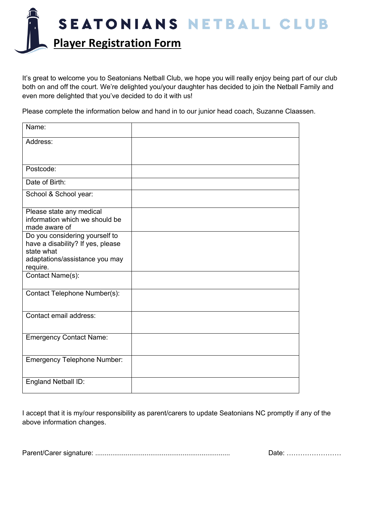SEATONIANS NETBALL CLUB

## **Player Registration Form**

It's great to welcome you to Seatonians Netball Club, we hope you will really enjoy being part of our club both on and off the court. We're delighted you/your daughter has decided to join the Netball Family and even more delighted that you've decided to do it with us!

Please complete the information below and hand in to our junior head coach, Suzanne Claassen.

| Name:                                                                                                                           |  |
|---------------------------------------------------------------------------------------------------------------------------------|--|
| Address:                                                                                                                        |  |
|                                                                                                                                 |  |
| Postcode:                                                                                                                       |  |
| Date of Birth:                                                                                                                  |  |
| School & School year:                                                                                                           |  |
| Please state any medical<br>information which we should be<br>made aware of                                                     |  |
| Do you considering yourself to<br>have a disability? If yes, please<br>state what<br>adaptations/assistance you may<br>require. |  |
| Contact Name(s):                                                                                                                |  |
| Contact Telephone Number(s):                                                                                                    |  |
| Contact email address:                                                                                                          |  |
| <b>Emergency Contact Name:</b>                                                                                                  |  |
| <b>Emergency Telephone Number:</b>                                                                                              |  |
| England Netball ID:                                                                                                             |  |

I accept that it is my/our responsibility as parent/carers to update Seatonians NC promptly if any of the above information changes.

| Parent/Care | <u>UUW. </u> |
|-------------|--------------|
|-------------|--------------|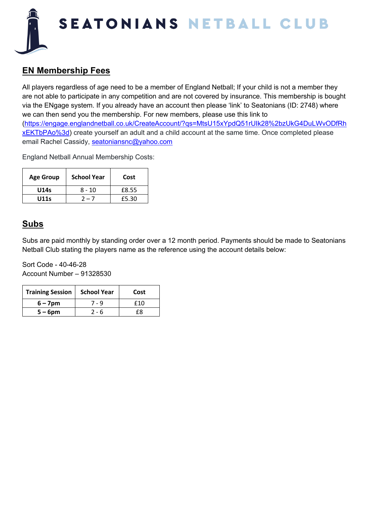

# SEATONIANS NETBALL CLUB

### **EN Membership Fees**

All players regardless of age need to be a member of England Netball; If your child is not a member they are not able to participate in any competition and are not covered by insurance. This membership is bought via the ENgage system. If you already have an account then please 'link' to Seatonians (ID: 2748) where we can then send you the membership. For new members, please use this link to (https://engage.englandnetball.co.uk/CreateAccount/?qs=MtsU15xYpdQ51rUIk28%2bzUkG4DuLWvODfRh xEKTbPAo%3d) create yourself an adult and a child account at the same time. Once completed please email Rachel Cassidy, seatoniansnc@yahoo.com

England Netball Annual Membership Costs:

| <b>Age Group</b> | <b>School Year</b> | Cost  |
|------------------|--------------------|-------|
| U14s             | 8 - 10             | £8.55 |
| U11s             |                    | £5.30 |

#### **Subs**

Subs are paid monthly by standing order over a 12 month period. Payments should be made to Seatonians Netball Club stating the players name as the reference using the account details below:

Sort Code - 40-46-28 Account Number – 91328530

| <b>Training Session</b> | <b>School Year</b> | Cost |
|-------------------------|--------------------|------|
| $6 - 7$ pm              | . – 9              | f10  |
| $5 - 6$ pm              | $2 - 6$            | F8   |